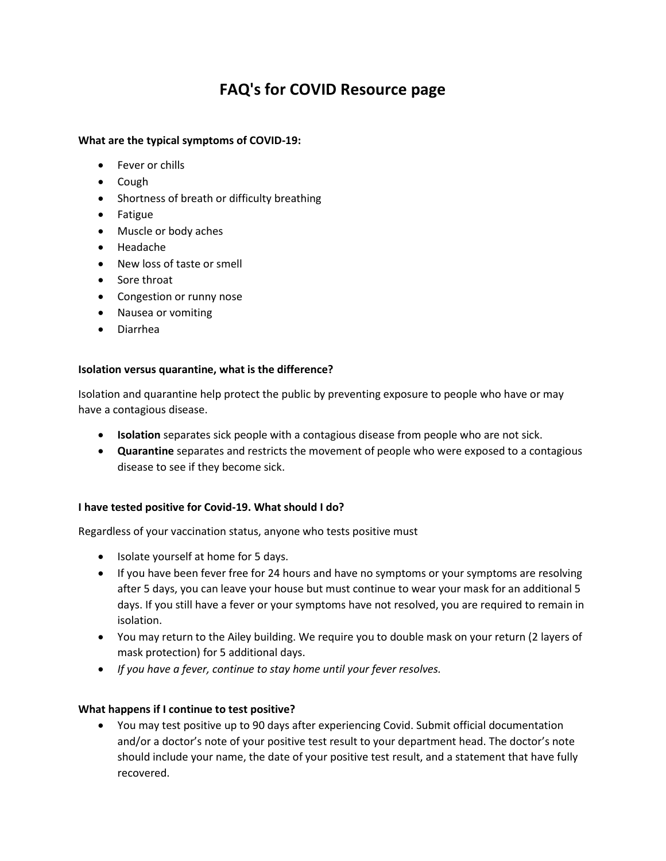# **FAQ's for COVID Resource page**

#### **What are the typical symptoms of COVID-19:**

- Fever or chills
- Cough
- Shortness of breath or difficulty breathing
- Fatigue
- Muscle or body aches
- Headache
- New loss of taste or smell
- Sore throat
- Congestion or runny nose
- Nausea or vomiting
- Diarrhea

#### **Isolation versus quarantine, what is the difference?**

Isolation and quarantine help protect the public by preventing exposure to people who have or may have a contagious disease.

- **Isolation** separates sick people with a contagious disease from people who are not sick.
- **Quarantine** separates and restricts the movement of people who were exposed to a contagious disease to see if they become sick.

#### **I have tested positive for Covid-19. What should I do?**

Regardless of your vaccination status, anyone who tests positive must

- Isolate yourself at home for 5 days.
- If you have been fever free for 24 hours and have no symptoms or your symptoms are resolving after 5 days, you can leave your house but must continue to wear your mask for an additional 5 days. If you still have a fever or your symptoms have not resolved, you are required to remain in isolation.
- You may return to the Ailey building. We require you to double mask on your return (2 layers of mask protection) for 5 additional days.
- *If you have a fever, continue to stay home until your fever resolves.*

#### **What happens if I continue to test positive?**

• You may test positive up to 90 days after experiencing Covid. Submit official documentation and/or a doctor's note of your positive test result to your department head. The doctor's note should include your name, the date of your positive test result, and a statement that have fully recovered.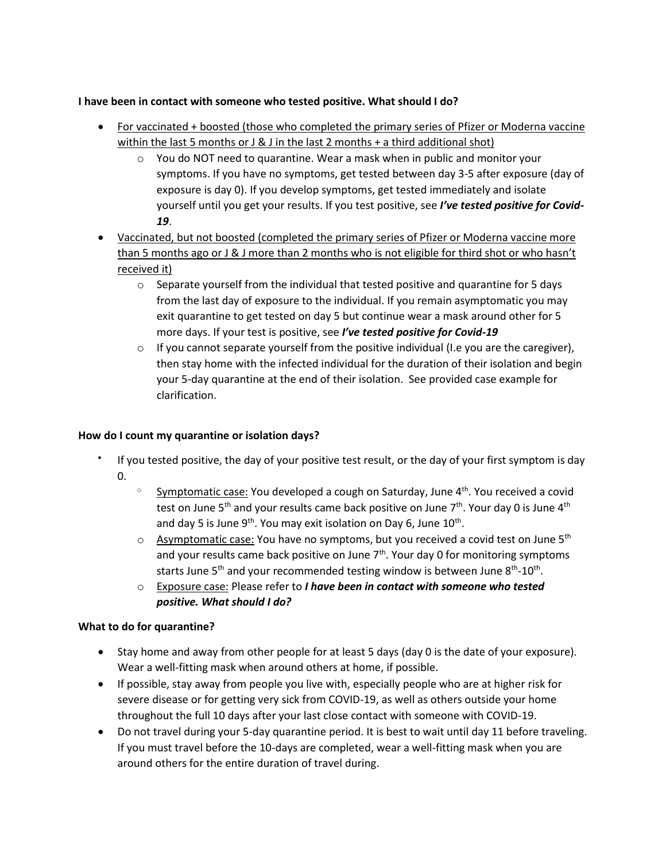## **I have been in contact with someone who tested positive. What should I do?**

- For vaccinated + boosted (those who completed the primary series of Pfizer or Moderna vaccine within the last 5 months or J & J in the last 2 months + a third additional shot)
	- $\circ$  You do NOT need to quarantine. Wear a mask when in public and monitor your symptoms. If you have no symptoms, get tested between day 3-5 after exposure (day of exposure is day 0). If you develop symptoms, get tested immediately and isolate yourself until you get your results. If you test positive, see *I've tested positive for Covid-19*.
- Vaccinated, but not boosted (completed the primary series of Pfizer or Moderna vaccine more than 5 months ago or J & J more than 2 months who is not eligible for third shot or who hasn't received it)
	- $\circ$  Separate yourself from the individual that tested positive and quarantine for 5 days from the last day of exposure to the individual. If you remain asymptomatic you may exit quarantine to get tested on day 5 but continue wear a mask around other for 5 more days. If your test is positive, see *I've tested positive for Covid-19*
	- $\circ$  If you cannot separate yourself from the positive individual (I.e you are the caregiver), then stay home with the infected individual for the duration of their isolation and begin your 5-day quarantine at the end of their isolation. See provided case example for clarification.

## **How do I count my quarantine or isolation days?**

- If you tested positive, the day of your positive test result, or the day of your first symptom is day 0.
	- $\degree$  Symptomatic case: You developed a cough on Saturday, June  $4<sup>th</sup>$ . You received a covid test on June 5<sup>th</sup> and your results came back positive on June 7<sup>th</sup>. Your day 0 is June 4<sup>th</sup> and day 5 is June 9<sup>th</sup>. You may exit isolation on Day 6, June  $10^{\text{th}}$ .
	- $\circ$  Asymptomatic case: You have no symptoms, but you received a covid test on June 5<sup>th</sup> and your results came back positive on June  $7<sup>th</sup>$ . Your day 0 for monitoring symptoms starts June 5<sup>th</sup> and your recommended testing window is between June 8<sup>th</sup>-10<sup>th</sup>.
	- o Exposure case: Please refer to *I have been in contact with someone who tested positive. What should I do?*

## **What to do for quarantine?**

- Stay home and away from other people for at least 5 days (day 0 is the date of your exposure). Wear a well-fitting mask when around others at home, if possible.
- If possible, stay away from people you live with, especially people who are at higher risk for severe disease or for getting very sick from COVID-19, as well as others outside your home throughout the full 10 days after your last close contact with someone with COVID-19.
- Do not travel during your 5-day quarantine period. It is best to wait until day 11 before traveling. If you must travel before the 10-days are completed, wear a well-fitting mask when you are around others for the entire duration of travel during.